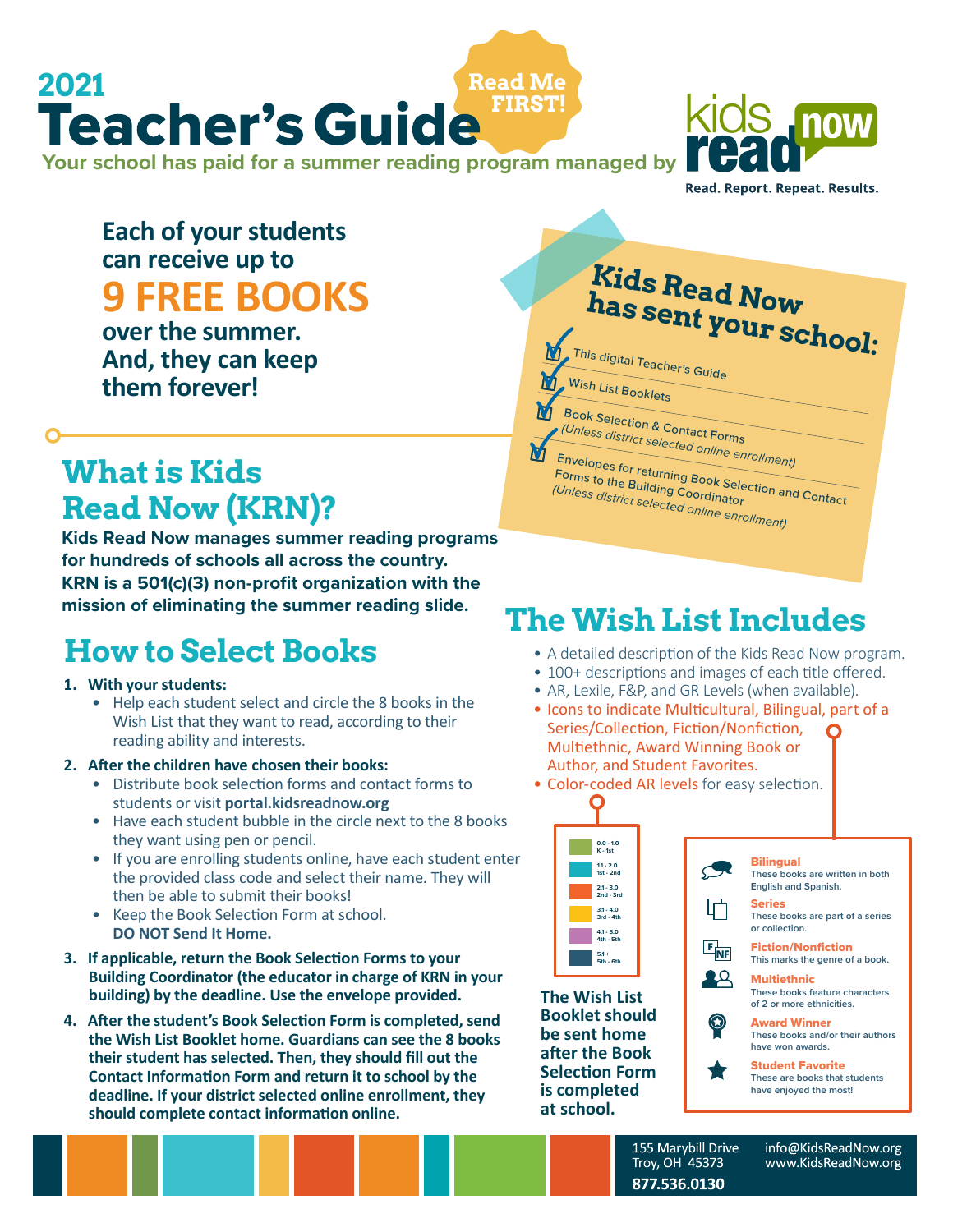#### **Your school has paid for a summer reading program managed by Read Me FIRST!** <sup>2021</sup><br>Teacher's Guide



Read. Report. Repeat. Results.

#### **Each of your students can receive up to 9 FREE BOOKS**

**over the summer. And, they can keep them forever!**

## **What is Kids Read Now (KRN)?**

**Kids Read Now manages summer reading programs for hundreds of schools all across the country. KRN is a 501(c)(3) non-profit organization with the mission of eliminating the summer reading slide.**

## **How to Select Books**

#### **1. With your students:**

• Help each student select and circle the 8 books in the Wish List that they want to read, according to their reading ability and interests.

#### **2. After the children have chosen their books:**

- Distribute book selection forms and contact forms to students or visit **portal.kidsreadnow.org**
- Have each student bubble in the circle next to the 8 books they want using pen or pencil.
- If you are enrolling students online, have each student enter the provided class code and select their name. They will then be able to submit their books!
- Keep the Book Selection Form at school. **DO NOT Send It Home.**
- **3. If applicable, return the Book Selection Forms to your Building Coordinator (the educator in charge of KRN in your building) by the deadline. Use the envelope provided.**
- **4. After the student's Book Selection Form is completed, send the Wish List Booklet home. Guardians can see the 8 books their student has selected. Then, they should fill out the Contact Information Form and return it to school by the deadline. If your district selected online enrollment, they should complete contact information online.**

# **Kids Read Now has sent your school:**

This digital Teacher's Guide

Wish List Booklets M

М

Book Selection & Contact Forms *(Unless district selected online enrollment)*

Envelopes for returning Book Selection<br>Forms to the Building Coordinator<br>Unless district selected Coordinator *(Unless district selected online enrollment)*

## **The Wish List Includes**

- A detailed description of the Kids Read Now program.
- 100+ descriptions and images of each title offered.
- AR, Lexile, F&P, and GR Levels (when available).
- Icons to indicate Multicultural, Bilingual, part of a Series/Collection, Fiction/Nonfiction, Multiethnic, Award Winning Book or Author, and Student Favorites.





**The Wish List Booklet should be sent home after the Book Selection Form is completed at school.**



155 Marybill Drive Troy, OH 45373 877.536.0130

info@KidsReadNow.org www.KidsReadNow.org